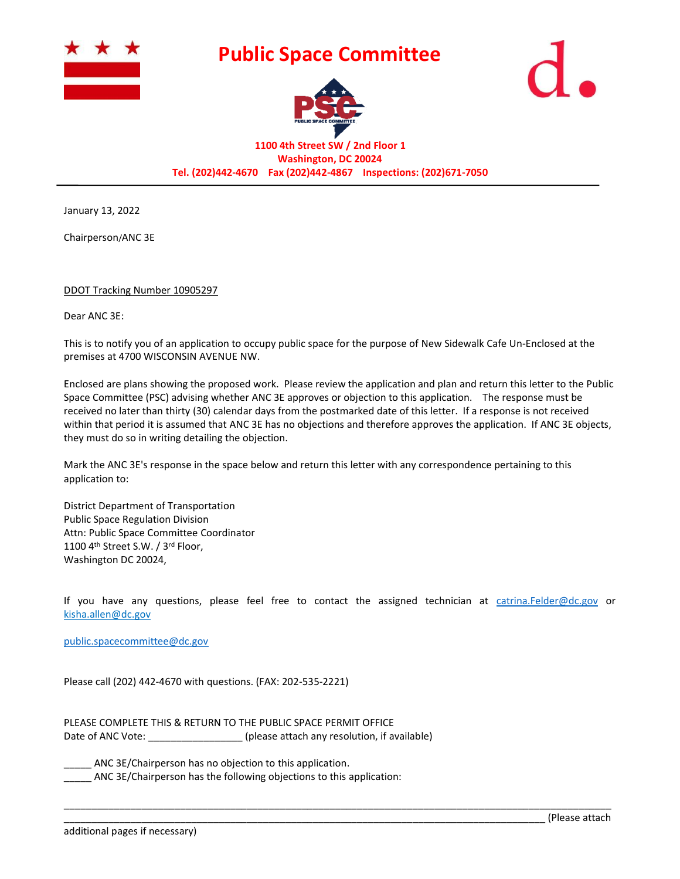

## **Public Space Committee**





**1100 4th Street SW / 2nd Floor 1 Washington, DC 20024 Tel. (202)442-4670 Fax (202)442-4867 Inspections: (202)671-7050** 

January 13, 2022

Chairperson/ANC 3E

## DDOT Tracking Number 10905297

Dear ANC 3E:

This is to notify you of an application to occupy public space for the purpose of New Sidewalk Cafe Un-Enclosed at the premises at 4700 WISCONSIN AVENUE NW.

Enclosed are plans showing the proposed work. Please review the application and plan and return this letter to the Public Space Committee (PSC) advising whether ANC 3E approves or objection to this application. The response must be received no later than thirty (30) calendar days from the postmarked date of this letter. If a response is not received within that period it is assumed that ANC 3E has no objections and therefore approves the application. If ANC 3E objects, they must do so in writing detailing the objection.

Mark the ANC 3E's response in the space below and return this letter with any correspondence pertaining to this application to:

District Department of Transportation Public Space Regulation Division Attn: Public Space Committee Coordinator 1100 4th Street S.W. / 3rd Floor, Washington DC 20024,

If you have any questions, please feel free to contact the assigned technician at [catrina.Felder@dc.gov](mailto:catrina.Felder@dc.gov) or kisha.allen@dc.gov

\_\_\_\_\_\_\_\_\_\_\_\_\_\_\_\_\_\_\_\_\_\_\_\_\_\_\_\_\_\_\_\_\_\_\_\_\_\_\_\_\_\_\_\_\_\_\_\_\_\_\_\_\_\_\_\_\_\_\_\_\_\_\_\_\_\_\_\_\_\_\_\_\_\_\_\_\_\_\_\_\_\_\_\_\_\_\_\_\_\_\_\_\_\_\_\_\_\_\_

[public.spacecommittee@dc.gov](mailto:public.spacecommittee@dc.gov)

Please call (202) 442-4670 with questions. (FAX: 202-535-2221)

PLEASE COMPLETE THIS & RETURN TO THE PUBLIC SPACE PERMIT OFFICE Date of ANC Vote: \_\_\_\_\_\_\_\_\_\_\_\_\_\_\_\_\_\_\_\_\_ (please attach any resolution, if available)

ANC 3E/Chairperson has no objection to this application.

ANC 3E/Chairperson has the following objections to this application: